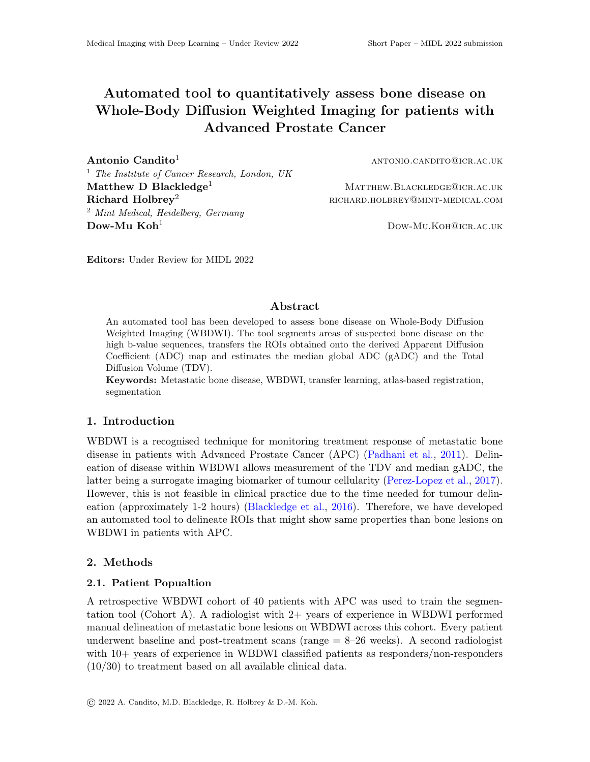# Automated tool to quantitatively assess bone disease on Whole-Body Diffusion Weighted Imaging for patients with Advanced Prostate Cancer

**Antonio Candito<sup>1</sup>** antonio.candito<sup>1</sup> antonio.candito<sup>1</sup> <sup>1</sup> The Institute of Cancer Research, London, UK  $\mathbf{Matthew\ D\ Blackledge^1}$  Matthew.BLACKLEDGE@ICR.AC.UK  $\mathbf{Richard}\, \operatorname{Holbrev}^2$  richard  $\operatorname{Holbrev}^2$  richard.holbrevel richard.holbrevel richard.holbrevel richard.holbrevel richard.holbrevel richard.holbrevel richard.holbrevel richard.holbrevel richard.holbrevel richard.holbrevel <sup>2</sup> Mint Medical, Heidelberg, Germany Dow-Mu Koh<sup>1</sup> Dow-Mu.Koh<sup>2</sup> Dow-Mu.Koh<sup>2</sup> Dow-Mu.Koh2 Dow-Mu.Koh2 Dow-Mu.Koh2 Dow-Mu.Koh2 Dow-Mu.Koh

Editors: Under Review for MIDL 2022

#### Abstract

An automated tool has been developed to assess bone disease on Whole-Body Diffusion Weighted Imaging (WBDWI). The tool segments areas of suspected bone disease on the high b-value sequences, transfers the ROIs obtained onto the derived Apparent Diffusion Coefficient (ADC) map and estimates the median global ADC (gADC) and the Total Diffusion Volume (TDV).

Keywords: Metastatic bone disease, WBDWI, transfer learning, atlas-based registration, segmentation

#### 1. Introduction

WBDWI is a recognised technique for monitoring treatment response of metastatic bone disease in patients with Advanced Prostate Cancer (APC) [\(Padhani et al.,](#page-2-0) [2011\)](#page-2-0). Delineation of disease within WBDWI allows measurement of the TDV and median gADC, the latter being a surrogate imaging biomarker of tumour cellularity [\(Perez-Lopez et al.,](#page-2-1) [2017\)](#page-2-1). However, this is not feasible in clinical practice due to the time needed for tumour delineation (approximately 1-2 hours) [\(Blackledge et al.,](#page-2-2) [2016\)](#page-2-2). Therefore, we have developed an automated tool to delineate ROIs that might show same properties than bone lesions on WBDWI in patients with APC.

#### 2. Methods

#### 2.1. Patient Popualtion

A retrospective WBDWI cohort of 40 patients with APC was used to train the segmentation tool (Cohort A). A radiologist with 2+ years of experience in WBDWI performed manual delineation of metastatic bone lesions on WBDWI across this cohort. Every patient underwent baseline and post-treatment scans ( $range = 8-26$  weeks). A second radiologist with  $10+$  years of experience in WBDWI classified patients as responders/non-responders (10/30) to treatment based on all available clinical data.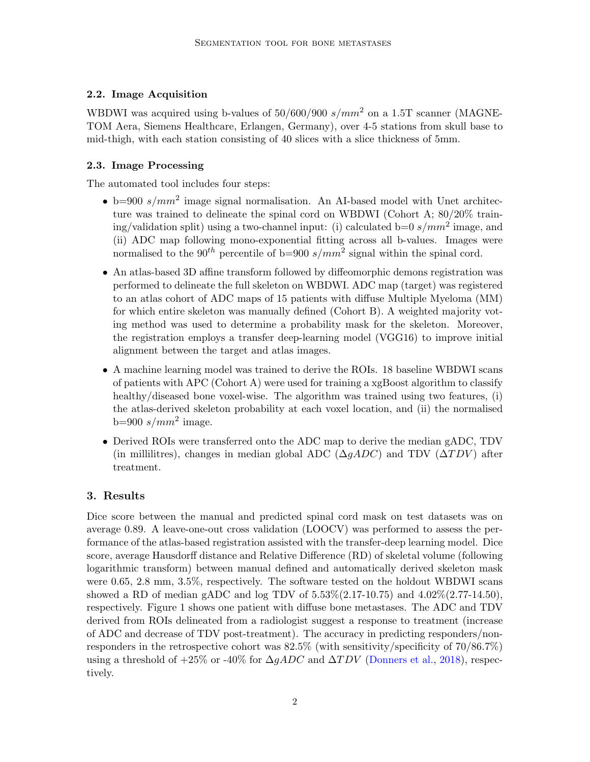# 2.2. Image Acquisition

WBDWI was acquired using b-values of  $50/600/900$  s/mm<sup>2</sup> on a 1.5T scanner (MAGNE-TOM Aera, Siemens Healthcare, Erlangen, Germany), over 4-5 stations from skull base to mid-thigh, with each station consisting of 40 slices with a slice thickness of 5mm.

# 2.3. Image Processing

The automated tool includes four steps:

- b=900  $s/mm^2$  image signal normalisation. An AI-based model with Unet architecture was trained to delineate the spinal cord on WBDWI (Cohort A; 80/20% training/validation split) using a two-channel input: (i) calculated  $b=0$  s/ $mm^2$  image, and (ii) ADC map following mono-exponential fitting across all b-values. Images were normalised to the 90<sup>th</sup> percentile of  $b=900 s/mm^2$  signal within the spinal cord.
- An atlas-based 3D affine transform followed by diffeomorphic demons registration was performed to delineate the full skeleton on WBDWI. ADC map (target) was registered to an atlas cohort of ADC maps of 15 patients with diffuse Multiple Myeloma (MM) for which entire skeleton was manually defined (Cohort B). A weighted majority voting method was used to determine a probability mask for the skeleton. Moreover, the registration employs a transfer deep-learning model (VGG16) to improve initial alignment between the target and atlas images.
- A machine learning model was trained to derive the ROIs. 18 baseline WBDWI scans of patients with APC (Cohort A) were used for training a xgBoost algorithm to classify healthy/diseased bone voxel-wise. The algorithm was trained using two features, (i) the atlas-derived skeleton probability at each voxel location, and (ii) the normalised  $b=900 s/mm^2$  image.
- Derived ROIs were transferred onto the ADC map to derive the median gADC, TDV (in millilitres), changes in median global ADC ( $\Delta gADC$ ) and TDV ( $\Delta TDV$ ) after treatment.

# 3. Results

Dice score between the manual and predicted spinal cord mask on test datasets was on average 0.89. A leave-one-out cross validation (LOOCV) was performed to assess the performance of the atlas-based registration assisted with the transfer-deep learning model. Dice score, average Hausdorff distance and Relative Difference (RD) of skeletal volume (following logarithmic transform) between manual defined and automatically derived skeleton mask were 0.65, 2.8 mm, 3.5%, respectively. The software tested on the holdout WBDWI scans showed a RD of median gADC and log TDV of  $5.53\%(2.17-10.75)$  and  $4.02\%(2.77-14.50)$ , respectively. Figure 1 shows one patient with diffuse bone metastases. The ADC and TDV derived from ROIs delineated from a radiologist suggest a response to treatment (increase of ADC and decrease of TDV post-treatment). The accuracy in predicting responders/nonresponders in the retrospective cohort was 82.5% (with sensitivity/specificity of 70/86.7%) using a threshold of  $+25\%$  or  $-40\%$  for  $\Delta gADC$  and  $\Delta TDV$  [\(Donners et al.,](#page-2-3) [2018\)](#page-2-3), respectively.